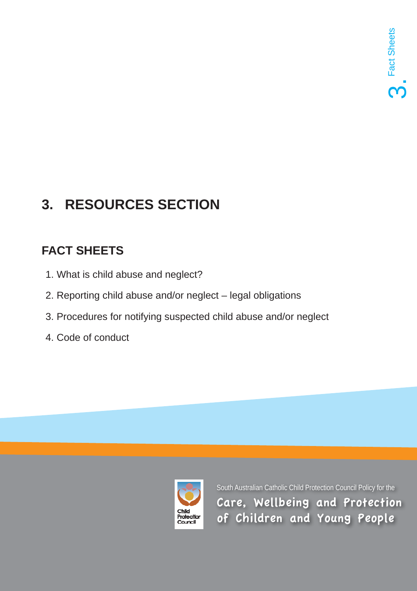# **3. RESOURCES SECTION**

## **FACT SHEETS**

- 1. What is child abuse and neglect?
- 2. Reporting child abuse and/or neglect legal obligations
- 3. Procedures for notifying suspected child abuse and/or neglect
- 4. Code of conduct

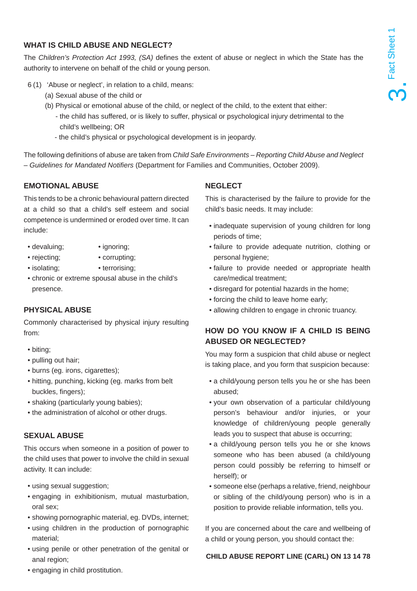### **WHAT IS CHILD ABUSE AND NEGLECT?**

The *Children's Protection Act 1993, (SA)* defines the extent of abuse or neglect in which the State has the authority to intervene on behalf of the child or young person.

- 6 (1) 'Abuse or neglect', in relation to a child, means:
	- (a) Sexual abuse of the child or
	- (b) Physical or emotional abuse of the child, or neglect of the child, to the extent that either:
		- the child has suffered, or is likely to suffer, physical or psychological injury detrimental to the child's wellbeing; OR
		- the child's physical or psychological development is in jeopardy.

The following definitions of abuse are taken from *Child Safe Environments – Reporting Child Abuse and Neglect – Guidelines for Mandated Notifi ers* (Department for Families and Communities, October 2009).

#### **EMOTIONAL ABUSE**

This tends to be a chronic behavioural pattern directed at a child so that a child's self esteem and social competence is undermined or eroded over time. It can include:

- devaluing; ignoring;
- rejecting; corrupting;
- isolating; terrorising;
- chronic or extreme spousal abuse in the child's presence.

#### **PHYSICAL ABUSE**

Commonly characterised by physical injury resulting from:

- biting;
- pulling out hair;
- burns (eg. irons, cigarettes);
- hitting, punching, kicking (eg. marks from belt buckles, fingers);
- shaking (particularly young babies);
- the administration of alcohol or other drugs.

### **SEXUAL ABUSE**

This occurs when someone in a position of power to the child uses that power to involve the child in sexual activity. It can include:

- using sexual suggestion;
- engaging in exhibitionism, mutual masturbation, oral sex;
- showing pornographic material, eg. DVDs, internet;
- using children in the production of pornographic material;
- using penile or other penetration of the genital or anal region;

## **NEGLECT**

This is characterised by the failure to provide for the child's basic needs. It may include:

- inadequate supervision of young children for long periods of time;
- failure to provide adequate nutrition, clothing or personal hygiene;
- failure to provide needed or appropriate health care/medical treatment;
- disregard for potential hazards in the home;
- forcing the child to leave home early;
- allowing children to engage in chronic truancy.

## **HOW DO YOU KNOW IF A CHILD IS BEING ABUSED OR NEGLECTED?**

You may form a suspicion that child abuse or neglect is taking place, and you form that suspicion because:

- a child/young person tells you he or she has been abused;
- your own observation of a particular child/young person's behaviour and/or injuries, or your knowledge of children/young people generally leads you to suspect that abuse is occurring;
- a child/young person tells you he or she knows someone who has been abused (a child/young person could possibly be referring to himself or herself); or
- someone else (perhaps a relative, friend, neighbour or sibling of the child/young person) who is in a position to provide reliable information, tells you.

If you are concerned about the care and wellbeing of a child or young person, you should contact the:

#### **CHILD ABUSE REPORT LINE (CARL) ON 13 14 78**

• engaging in child prostitution.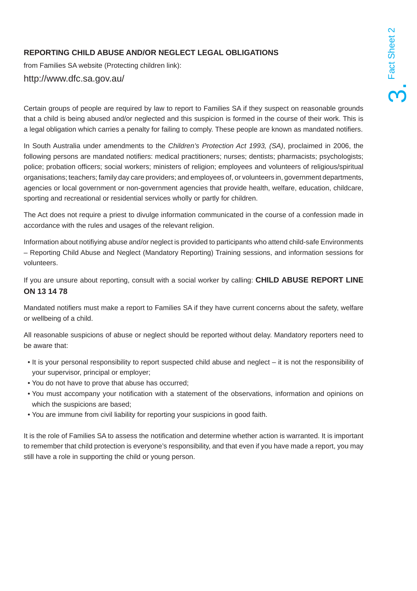## **REPORTING CHILD ABUSE AND/OR NEGLECT LEGAL OBLIGATIONS**

from Families SA website (Protecting children link):

#### http://www.dfc.sa.gov.au/

Certain groups of people are required by law to report to Families SA if they suspect on reasonable grounds that a child is being abused and/or neglected and this suspicion is formed in the course of their work. This is a legal obligation which carries a penalty for failing to comply. These people are known as mandated notifiers.

In South Australia under amendments to the *Children's Protection Act 1993, (SA)*, proclaimed in 2006, the following persons are mandated notifiers: medical practitioners; nurses; dentists; pharmacists; psychologists; police; probation officers; social workers; ministers of religion; employees and volunteers of religious/spiritual organisations; teachers; family day care providers; and employees of, or volunteers in, government departments, agencies or local government or non-government agencies that provide health, welfare, education, childcare, sporting and recreational or residential services wholly or partly for children.

The Act does not require a priest to divulge information communicated in the course of a confession made in accordance with the rules and usages of the relevant religion.

Information about notifiying abuse and/or neglect is provided to participants who attend child-safe Environments – Reporting Child Abuse and Neglect (Mandatory Reporting) Training sessions, and information sessions for volunteers.

If you are unsure about reporting, consult with a social worker by calling: **CHILD ABUSE REPORT LINE ON 13 14 78**

Mandated notifiers must make a report to Families SA if they have current concerns about the safety, welfare or wellbeing of a child.

All reasonable suspicions of abuse or neglect should be reported without delay. Mandatory reporters need to be aware that:

- It is your personal responsibility to report suspected child abuse and neglect it is not the responsibility of your supervisor, principal or employer;
- You do not have to prove that abuse has occurred;
- You must accompany your notification with a statement of the observations, information and opinions on which the suspicions are based;
- You are immune from civil liability for reporting your suspicions in good faith.

It is the role of Families SA to assess the notification and determine whether action is warranted. It is important to remember that child protection is everyone's responsibility, and that even if you have made a report, you may still have a role in supporting the child or young person.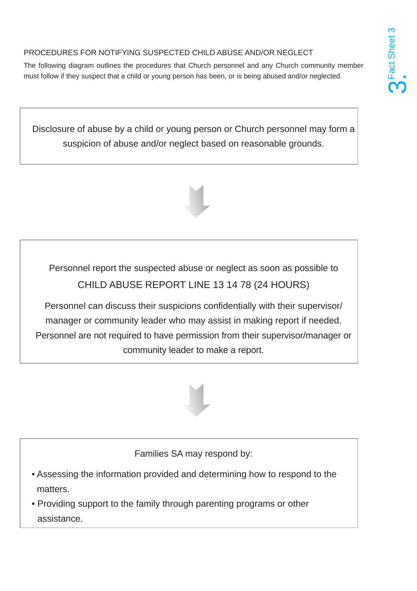## PROCEDURES FOR NOTIFYING SUSPECTED CHILD ABUSE AND/OR NEGLECT

The following diagram outlines the procedures that Church personnel and any Church community member must follow if they suspect that a child or young person has been, or is being abused and/or neglected.

Disclosure of abuse by a child or young person or Church personnel may form a suspicion of abuse and/or neglect based on reasonable grounds.



Personnel report the suspected abuse or neglect as soon as possible to CHILD ABUSE REPORT LINE 13 14 78 (24 HOURS)

Personnel can discuss their suspicions confidentially with their supervisor/ manager or community leader who may assist in making report if needed. Personnel are not required to have permission from their supervisor/manager or community leader to make a report.



Families SA may respond by:

- Assessing the information provided and determining how to respond to the matters.
- Providing support to the family through parenting programs or other assistance.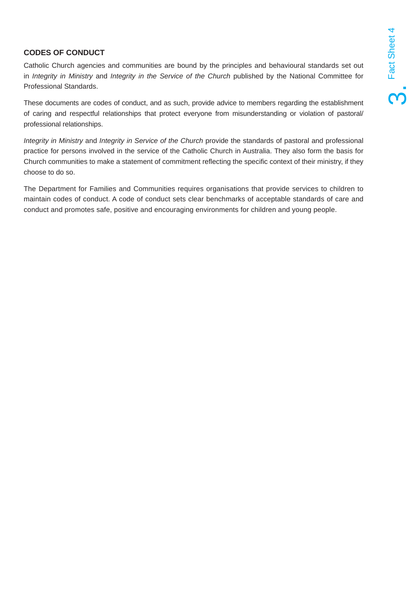## **CODES OF CONDUCT**

Catholic Church agencies and communities are bound by the principles and behavioural standards set out in *Integrity in Ministry* and *Integrity in the Service of the Church* published by the National Committee for Professional Standards.

These documents are codes of conduct, and as such, provide advice to members regarding the establishment of caring and respectful relationships that protect everyone from misunderstanding or violation of pastoral/ professional relationships.

*Integrity in Ministry* and *Integrity in Service of the Church* provide the standards of pastoral and professional practice for persons involved in the service of the Catholic Church in Australia. They also form the basis for Church communities to make a statement of commitment reflecting the specific context of their ministry, if they choose to do so.

The Department for Families and Communities requires organisations that provide services to children to maintain codes of conduct. A code of conduct sets clear benchmarks of acceptable standards of care and conduct and promotes safe, positive and encouraging environments for children and young people.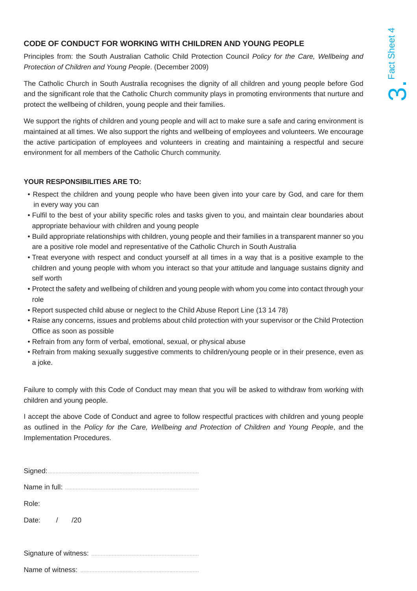### **CODE OF CONDUCT FOR WORKING WITH CHILDREN AND YOUNG PEOPLE**

Principles from: the South Australian Catholic Child Protection Council *Policy for the Care, Wellbeing and Protection of Children and Young People*. (December 2009)

The Catholic Church in South Australia recognises the dignity of all children and young people before God and the significant role that the Catholic Church community plays in promoting environments that nurture and protect the wellbeing of children, young people and their families.

We support the rights of children and young people and will act to make sure a safe and caring environment is maintained at all times. We also support the rights and wellbeing of employees and volunteers. We encourage the active participation of employees and volunteers in creating and maintaining a respectful and secure environment for all members of the Catholic Church community.

#### **YOUR RESPONSIBILITIES ARE TO:**

- Respect the children and young people who have been given into your care by God, and care for them in every way you can
- Fulfil to the best of your ability specific roles and tasks given to you, and maintain clear boundaries about appropriate behaviour with children and young people
- Build appropriate relationships with children, young people and their families in a transparent manner so you are a positive role model and representative of the Catholic Church in South Australia
- Treat everyone with respect and conduct yourself at all times in a way that is a positive example to the children and young people with whom you interact so that your attitude and language sustains dignity and self worth
- Protect the safety and wellbeing of children and young people with whom you come into contact through your role
- Report suspected child abuse or neglect to the Child Abuse Report Line (13 14 78)
- Raise any concerns, issues and problems about child protection with your supervisor or the Child Protection Office as soon as possible
- Refrain from any form of verbal, emotional, sexual, or physical abuse
- Refrain from making sexually suggestive comments to children/young people or in their presence, even as a joke.

Failure to comply with this Code of Conduct may mean that you will be asked to withdraw from working with children and young people.

I accept the above Code of Conduct and agree to follow respectful practices with children and young people as outlined in the *Policy for the Care, Wellbeing and Protection of Children and Young People*, and the Implementation Procedures.

| Signed:     |
|-------------|
|             |
| Role:       |
| Date: / /20 |
|             |

Name of witness: ............................................................................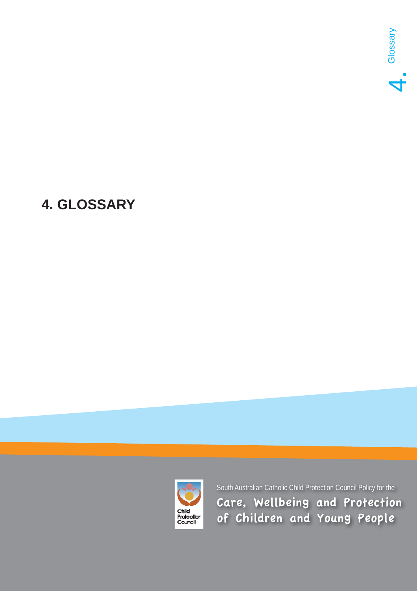

# **4. GLOSSARY**

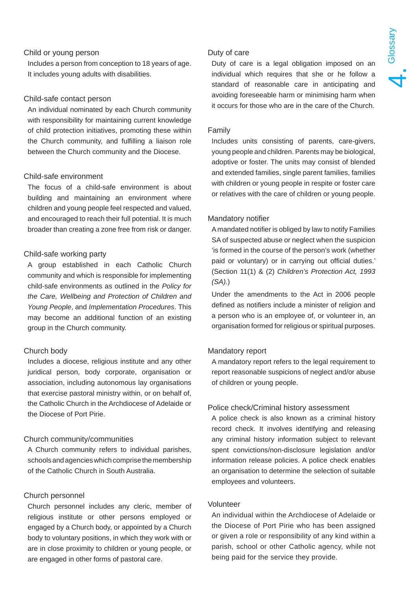### Child or young person

Includes a person from conception to 18 years of age. It includes young adults with disabilities.

#### Child-safe contact person

An individual nominated by each Church community with responsibility for maintaining current knowledge of child protection initiatives, promoting these within the Church community, and fulfilling a liaison role between the Church community and the Diocese.

#### Child-safe environment

The focus of a child-safe environment is about building and maintaining an environment where children and young people feel respected and valued, and encouraged to reach their full potential. It is much broader than creating a zone free from risk or danger.

#### Child-safe working party

A group established in each Catholic Church community and which is responsible for implementing child-safe environments as outlined in the *Policy for the Care, Wellbeing and Protection of Children and Young People*, and *Implementation Procedures*. This may become an additional function of an existing group in the Church community.

#### Church body

Includes a diocese, religious institute and any other juridical person, body corporate, organisation or association, including autonomous lay organisations that exercise pastoral ministry within, or on behalf of, the Catholic Church in the Archdiocese of Adelaide or the Diocese of Port Pirie.

#### Church community/communities

A Church community refers to individual parishes, schools and agencies which comprise the membership of the Catholic Church in South Australia.

#### Church personnel

Church personnel includes any cleric, member of religious institute or other persons employed or engaged by a Church body, or appointed by a Church body to voluntary positions, in which they work with or are in close proximity to children or young people, or are engaged in other forms of pastoral care.

#### Duty of care

Duty of care is a legal obligation imposed on an individual which requires that she or he follow a standard of reasonable care in anticipating and avoiding foreseeable harm or minimising harm when it occurs for those who are in the care of the Church.

#### Family

Includes units consisting of parents, care-givers, young people and children. Parents may be biological, adoptive or foster. The units may consist of blended and extended families, single parent families, families with children or young people in respite or foster care or relatives with the care of children or young people.

#### Mandatory notifier

A mandated notifier is obliged by law to notify Families SA of suspected abuse or neglect when the suspicion 'is formed in the course of the person's work (whether paid or voluntary) or in carrying out official duties.' (Section 11(1) & (2) *Children's Protection Act, 1993 (SA).*)

Under the amendments to the Act in 2006 people defined as notifiers include a minister of religion and a person who is an employee of, or volunteer in, an organisation formed for religious or spiritual purposes.

#### Mandatory report

A mandatory report refers to the legal requirement to report reasonable suspicions of neglect and/or abuse of children or young people.

#### Police check/Criminal history assessment

A police check is also known as a criminal history record check. It involves identifying and releasing any criminal history information subject to relevant spent convictions/non-disclosure legislation and/or information release policies. A police check enables an organisation to determine the selection of suitable employees and volunteers.

#### Volunteer

An individual within the Archdiocese of Adelaide or the Diocese of Port Pirie who has been assigned or given a role or responsibility of any kind within a parish, school or other Catholic agency, while not being paid for the service they provide.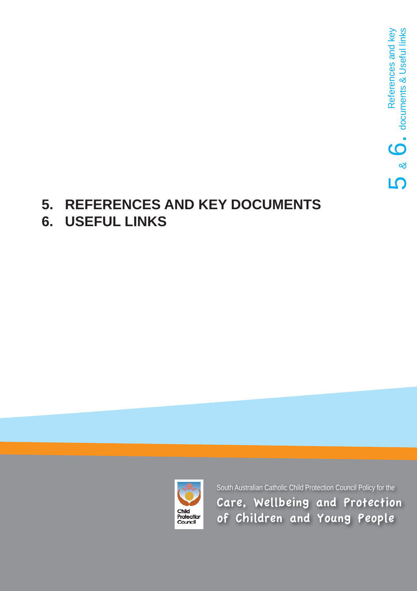## **5. REFERENCES AND KEY DOCUMENTS 6. USEFUL LINKS**

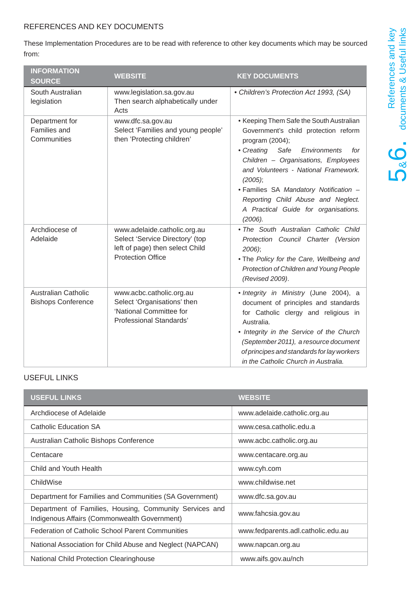### REFERENCES AND KEY DOCUMENTS

These Implementation Procedures are to be read with reference to other key documents which may be sourced from:

| <b>INFORMATION</b><br><b>SOURCE</b>                     | <b>WEBSITE</b>                                                                                                                 | <b>KEY DOCUMENTS</b>                                                                                                                                                                                                                                                                                                                                                          |
|---------------------------------------------------------|--------------------------------------------------------------------------------------------------------------------------------|-------------------------------------------------------------------------------------------------------------------------------------------------------------------------------------------------------------------------------------------------------------------------------------------------------------------------------------------------------------------------------|
| South Australian<br>legislation                         | www.legislation.sa.gov.au<br>Then search alphabetically under<br>Acts                                                          | • Children's Protection Act 1993, (SA)                                                                                                                                                                                                                                                                                                                                        |
| Department for<br><b>Families and</b><br>Communities    | www.dfc.sa.gov.au<br>Select 'Families and young people'<br>then 'Protecting children'                                          | • Keeping Them Safe the South Australian<br>Government's child protection reform<br>program (2004);<br>• Creating<br>Environments<br>Safe<br>for<br>Children - Organisations, Employees<br>and Volunteers - National Framework.<br>(2005);<br>· Families SA Mandatory Notification -<br>Reporting Child Abuse and Neglect.<br>A Practical Guide for organisations.<br>(2006). |
| Archdiocese of<br>Adelaide                              | www.adelaide.catholic.org.au<br>Select 'Service Directory' (top<br>left of page) then select Child<br><b>Protection Office</b> | • The South Australian Catholic Child<br>Protection Council Charter (Version<br>2006);<br>. The Policy for the Care, Wellbeing and<br>Protection of Children and Young People<br>(Revised 2009).                                                                                                                                                                              |
| <b>Australian Catholic</b><br><b>Bishops Conference</b> | www.acbc.catholic.org.au<br>Select 'Organisations' then<br>'National Committee for<br>Professional Standards'                  | . Integrity in Ministry (June 2004), a<br>document of principles and standards<br>for Catholic clergy and religious in<br>Australia.<br>• Integrity in the Service of the Church<br>(September 2011), a resource document<br>of principes and standards for lay workers<br>in the Catholic Church in Australia.                                                               |

## USEFUL LINKS

| <b>USEFUL LINKS</b>                                                                                     | <b>WEBSITE</b>                     |
|---------------------------------------------------------------------------------------------------------|------------------------------------|
| Archdiocese of Adelaide                                                                                 | www.adelaide.catholic.org.au       |
| Catholic Education SA                                                                                   | www.cesa.catholic.edu.a            |
| Australian Catholic Bishops Conference                                                                  | www.acbc.catholic.org.au           |
| Centacare                                                                                               | www.centacare.org.au               |
| Child and Youth Health                                                                                  | www.cyh.com                        |
| ChildWise                                                                                               | www.childwise.net                  |
| Department for Families and Communities (SA Government)                                                 | www.dfc.sa.gov.au                  |
| Department of Families, Housing, Community Services and<br>Indigenous Affairs (Commonwealth Government) | www.fahcsia.gov.au                 |
| <b>Federation of Catholic School Parent Communities</b>                                                 | www.fedparents.adl.catholic.edu.au |
| National Association for Child Abuse and Neglect (NAPCAN)                                               | www.napcan.org.au                  |
| <b>National Child Protection Clearinghouse</b>                                                          | www.aifs.gov.au/nch                |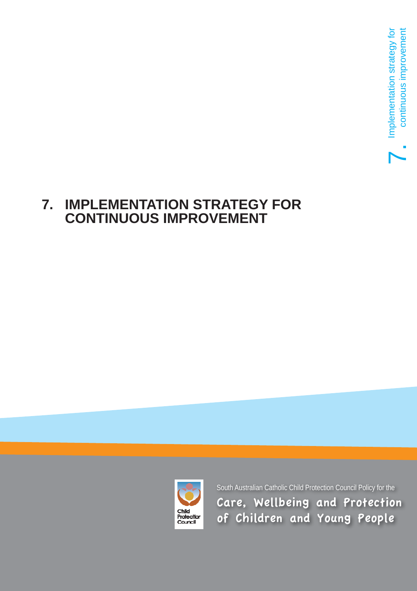## **7. IMPLEMENTATION STRATEGY FOR CONTINUOUS IMPROVEMENT**

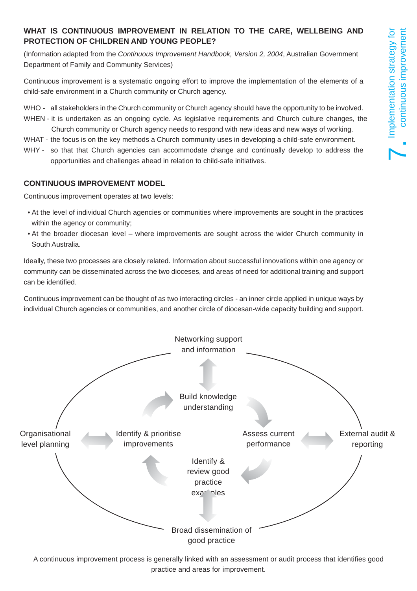## **WHAT IS CONTINUOUS IMPROVEMENT IN RELATION TO THE CARE, WELLBEING AND PROTECTION OF CHILDREN AND YOUNG PEOPLE?**

(Information adapted from the *Continuous Improvement Handbook, Version 2, 2004*, Australian Government Department of Family and Community Services)

Continuous improvement is a systematic ongoing effort to improve the implementation of the elements of a child-safe environment in a Church community or Church agency.

- WHO all stakeholders in the Church community or Church agency should have the opportunity to be involved.
- WHEN it is undertaken as an ongoing cycle. As legislative requirements and Church culture changes, the Church community or Church agency needs to respond with new ideas and new ways of working.
- WHAT the focus is on the key methods a Church community uses in developing a child-safe environment.
- WHY so that that Church agencies can accommodate change and continually develop to address the opportunities and challenges ahead in relation to child-safe initiatives.

### **CONTINUOUS IMPROVEMENT MODEL**

Continuous improvement operates at two levels:

- At the level of individual Church agencies or communities where improvements are sought in the practices within the agency or community;
- At the broader diocesan level where improvements are sought across the wider Church community in South Australia.

Ideally, these two processes are closely related. Information about successful innovations within one agency or community can be disseminated across the two dioceses, and areas of need for additional training and support can be identified.

Continuous improvement can be thought of as two interacting circles - an inner circle applied in unique ways by individual Church agencies or communities, and another circle of diocesan-wide capacity building and support.



A continuous improvement process is generally linked with an assessment or audit process that identifies good practice and areas for improvement.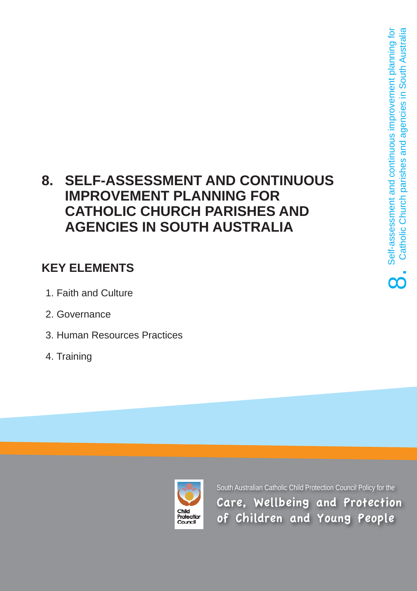## **8. SELF-ASSESSMENT AND CONTINUOUS IMPROVEMENT PLANNING FOR CATHOLIC CHURCH PARISHES AND AGENCIES IN SOUTH AUSTRALIA**

## **KEY ELEMENTS**

- 1. Faith and Culture
- 2. Governance
- 3. Human Resources Practices
- 4. Training

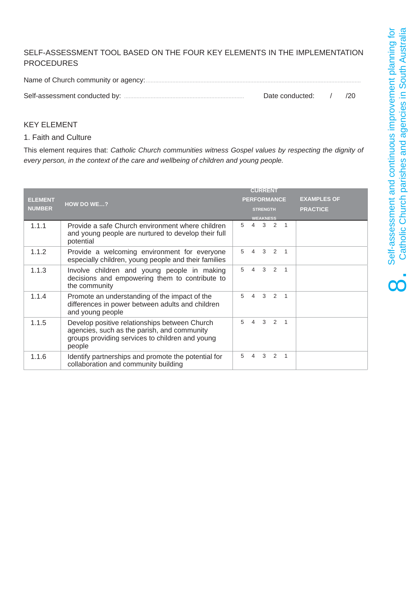## SELF-ASSESSMENT TOOL BASED ON THE FOUR KEY ELEMENTS IN THE IMPLEMENTATION PROCEDURES

| Date conducted: | /20 |
|-----------------|-----|

#### KEY ELEMENT

#### 1. Faith and Culture

This element requires that: *Catholic Church communities witness Gospel values by respecting the dignity of every person, in the context of the care and wellbeing of children and young people.* 

|                |                                                                                                                                                           | <b>CURRENT</b>                                                        |
|----------------|-----------------------------------------------------------------------------------------------------------------------------------------------------------|-----------------------------------------------------------------------|
| <b>ELEMENT</b> | <b>HOW DO WE?</b>                                                                                                                                         | <b>EXAMPLES OF</b><br><b>PERFORMANCE</b>                              |
| <b>NUMBER</b>  |                                                                                                                                                           | <b>PRACTICE</b><br><b>STRENGTH</b>                                    |
| 1.1.1          | Provide a safe Church environment where children<br>and young people are nurtured to develop their full<br>potential                                      | <b>WEAKNESS</b><br>4 3 2<br>5<br>$\overline{1}$                       |
| 1.1.2          | Provide a welcoming environment for everyone<br>especially children, young people and their families                                                      | 3<br>$\mathcal{P}$<br>5<br>$\overline{\mathcal{A}}$<br>$\overline{1}$ |
| 1.1.3          | Involve children and young people in making<br>decisions and empowering them to contribute to<br>the community                                            | $\overline{4}$<br>3<br>2<br>5<br>1                                    |
| 1.1.4          | Promote an understanding of the impact of the<br>differences in power between adults and children<br>and young people                                     | 2 <sub>1</sub><br>5<br>3<br>4                                         |
| 1.1.5          | Develop positive relationships between Church<br>agencies, such as the parish, and community<br>groups providing services to children and young<br>people | $4 \quad 3 \quad 2$<br>5<br>$\overline{1}$                            |
| 1.1.6          | Identify partnerships and promote the potential for<br>collaboration and community building                                                               | $\mathcal{B}$<br>2<br>5<br>4<br>$\overline{1}$                        |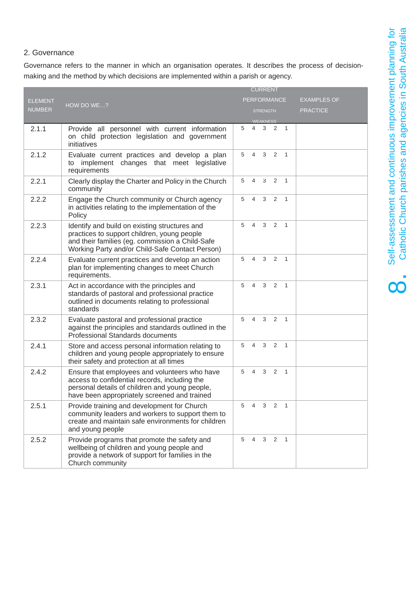**OC** 

#### 2. Governance

Governance refers to the manner in which an organisation operates. It describes the process of decisionmaking and the method by which decisions are implemented within a parish or agency.

|                |                                                                                                                                                                                                    | <b>CURRENT</b> |                |                 |                     |                |                    |
|----------------|----------------------------------------------------------------------------------------------------------------------------------------------------------------------------------------------------|----------------|----------------|-----------------|---------------------|----------------|--------------------|
| <b>ELEMENT</b> |                                                                                                                                                                                                    |                |                |                 | <b>PERFORMANCE</b>  |                | <b>EXAMPLES OF</b> |
| <b>NUMBER</b>  | HOW DO WE?                                                                                                                                                                                         |                |                | <b>STRENGTH</b> |                     |                | <b>PRACTICE</b>    |
|                |                                                                                                                                                                                                    |                |                | <b>WEAKNESS</b> |                     |                |                    |
| 2.1.1          | Provide all personnel with current information<br>on child protection legislation and government<br>initiatives                                                                                    | 5              | $\overline{4}$ | 3               | 2 1                 |                |                    |
| 2.1.2          | Evaluate current practices and develop a plan<br>implement changes that meet legislative<br>to<br>requirements                                                                                     | 5              | $\overline{4}$ | 3               | 2 1                 |                |                    |
| 2.2.1          | Clearly display the Charter and Policy in the Church<br>community                                                                                                                                  | 5              | $\overline{4}$ | 3               | $\overline{2}$      | $\overline{1}$ |                    |
| 2.2.2          | Engage the Church community or Church agency<br>in activities relating to the implementation of the<br>Policy                                                                                      | 5              | $\overline{4}$ | 3               | 2                   | $\mathbf{1}$   |                    |
| 2.2.3          | Identify and build on existing structures and<br>practices to support children, young people<br>and their families (eg. commission a Child-Safe<br>Working Party and/or Child-Safe Contact Person) | 5              | $\overline{4}$ | 3               | 2                   | $\overline{1}$ |                    |
| 2.2.4          | Evaluate current practices and develop an action<br>plan for implementing changes to meet Church<br>requirements.                                                                                  | 5              | 4              | 3               | 2                   | $\overline{1}$ |                    |
| 2.3.1          | Act in accordance with the principles and<br>standards of pastoral and professional practice<br>outlined in documents relating to professional<br>standards                                        | 5              | $\overline{4}$ | 3               | 2                   | $\overline{1}$ |                    |
| 2.3.2          | Evaluate pastoral and professional practice<br>against the principles and standards outlined in the<br>Professional Standards documents                                                            | 5              | $\overline{4}$ | 3               | $\overline{2}$      | $\overline{1}$ |                    |
| 2.4.1          | Store and access personal information relating to<br>children and young people appropriately to ensure<br>their safety and protection at all times                                                 | 5              | 4              |                 | $3 \quad 2 \quad 1$ |                |                    |
| 2.4.2          | Ensure that employees and volunteers who have<br>access to confidential records, including the<br>personal details of children and young people,<br>have been appropriately screened and trained   | 5              | $\overline{4}$ | $\mathbf{3}$    | $\overline{2}$      | $\overline{1}$ |                    |
| 2.5.1          | Provide training and development for Church<br>community leaders and workers to support them to<br>create and maintain safe environments for children<br>and young people                          | 5              | $\overline{4}$ | 3               | 2                   | $\overline{1}$ |                    |
| 2.5.2          | Provide programs that promote the safety and<br>wellbeing of children and young people and<br>provide a network of support for families in the<br>Church community                                 | 5              | $\overline{4}$ | 3               | 2                   | $\overline{1}$ |                    |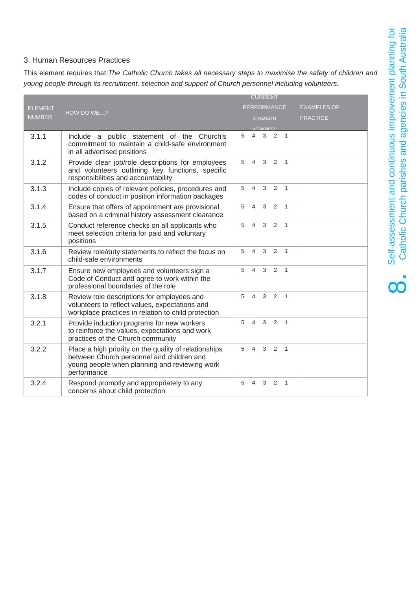#### 3. Human Resources Practices

This element requires that:*The Catholic Church takes all necessary steps to maximise the safety of children and young people through its recruitment, selection and support of Church personnel including volunteers.* 

|                |                                                                                                                                                                    |   |                | <b>CURRENT</b>  |                    |                |                    |
|----------------|--------------------------------------------------------------------------------------------------------------------------------------------------------------------|---|----------------|-----------------|--------------------|----------------|--------------------|
| <b>ELEMENT</b> |                                                                                                                                                                    |   |                |                 | <b>PERFORMANCE</b> |                | <b>EXAMPLES OF</b> |
| <b>NUMBER</b>  | HOW DO WE?                                                                                                                                                         |   |                | <b>STRENGTH</b> |                    |                | <b>PRACTICE</b>    |
|                |                                                                                                                                                                    |   |                | <b>WEAKNESS</b> |                    |                |                    |
| 3.1.1          | Include a public statement of the Church's<br>commitment to maintain a child-safe environment<br>in all advertised positions                                       | 5 | $\overline{4}$ | 3               | 2                  | $\overline{1}$ |                    |
| 3.1.2          | Provide clear job/role descriptions for employees<br>and volunteers outlining key functions, specific<br>responsibilities and accountability                       | 5 | 4              | 3               | 2                  | $\overline{1}$ |                    |
| 3.1.3          | Include copies of relevant policies, procedures and<br>codes of conduct in position information packages                                                           | 5 | $\overline{4}$ | $\mathbf{3}$    | 2                  | $\overline{1}$ |                    |
| 3.1.4          | Ensure that offers of appointment are provisional<br>based on a criminal history assessment clearance                                                              | 5 | 4              | 3               | 2                  | $\overline{1}$ |                    |
| 3.1.5          | Conduct reference checks on all applicants who<br>meet selection criteria for paid and voluntary<br>positions                                                      | 5 | $\overline{4}$ | 3               | 2                  | $\overline{1}$ |                    |
| 3.1.6          | Review role/duty statements to reflect the focus on<br>child-safe environments                                                                                     | 5 | 4              | 3               | 2                  | $\mathbf{1}$   |                    |
| 3.1.7          | Ensure new employees and volunteers sign a<br>Code of Conduct and agree to work within the<br>professional boundaries of the role                                  | 5 | $\overline{4}$ | 3               | 2                  | $\overline{1}$ |                    |
| 3.1.8          | Review role descriptions for employees and<br>volunteers to reflect values, expectations and<br>workplace practices in relation to child protection                | 5 | $\overline{4}$ | 3               | 2                  | $\mathbf{1}$   |                    |
| 3.2.1          | Provide induction programs for new workers<br>to reinforce the values, expectations and work<br>practices of the Church community                                  | 5 | $\overline{4}$ | 3               | 2                  | $\overline{1}$ |                    |
| 3.2.2          | Place a high priority on the quality of relationships<br>between Church personnel and children and<br>young people when planning and reviewing work<br>performance | 5 |                | $4 \quad 3$     | $\overline{2}$     | $\overline{1}$ |                    |
| 3.2.4          | Respond promptly and appropriately to any<br>concerns about child protection                                                                                       | 5 | 4              | 3               | 2                  | $\mathbf{1}$   |                    |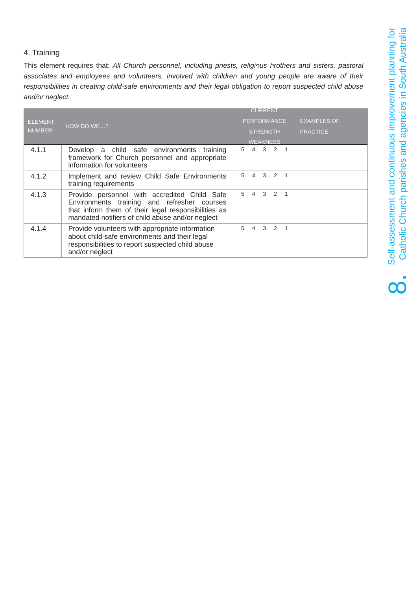#### 4. Training

This element requires that: *All Church personnel, including priests, religious brothers and sisters, pastoral associates and employees and volunteers, involved with children and young people are aware of their responsibilities in creating child-safe environments and their legal obligation to report suspected child abuse and/or neglect.*

| <b>ELEMENT</b> | HOW DO WE?                                                                                                                                                                                             | <b>PERFORMANCE</b>  |                     | <b>EXAMPLES OF</b> |
|----------------|--------------------------------------------------------------------------------------------------------------------------------------------------------------------------------------------------------|---------------------|---------------------|--------------------|
| <b>NUMBER</b>  |                                                                                                                                                                                                        | <b>STRENGTH</b>     |                     | <b>PRACTICE</b>    |
|                |                                                                                                                                                                                                        | <b>WEAKNESS</b>     |                     |                    |
| 4.1.1          | Develop a child safe environments<br>training<br>framework for Church personnel and appropriate<br>information for volunteers                                                                          | 5                   | 4 3 2 1             |                    |
| 4.1.2          | Implement and review Child Safe Environments<br>training requirements                                                                                                                                  | 5<br>$\overline{4}$ | $3 \t2 \t1$         |                    |
| 4.1.3          | Provide personnel with accredited Child Safe<br>Environments training and refresher courses<br>that inform them of their legal responsibilities as<br>mandated notifiers of child abuse and/or neglect | 5<br>$\overline{4}$ | $3 \quad 2 \quad 1$ |                    |
| 4.1.4          | Provide volunteers with appropriate information<br>about child-safe environments and their legal<br>responsibilities to report suspected child abuse<br>and/or neglect                                 | 5                   | 4 3 2 1             |                    |